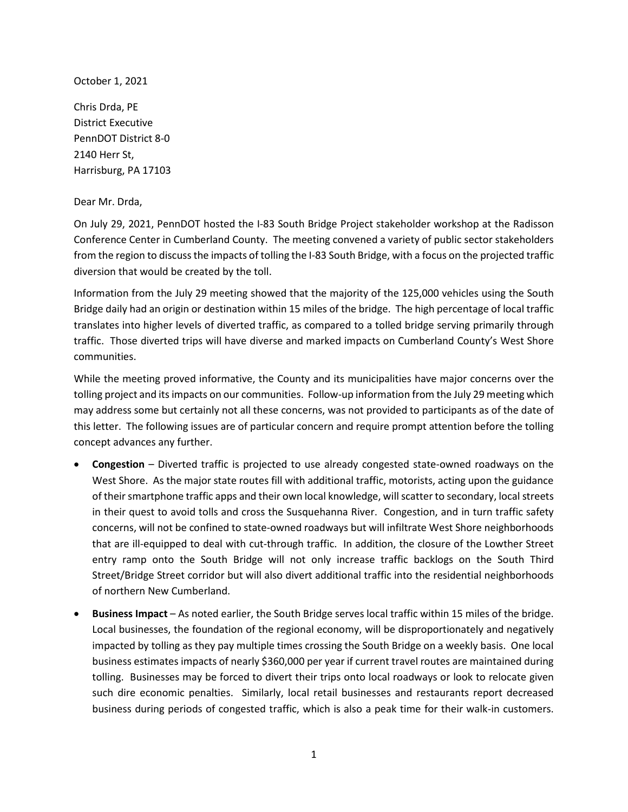October 1, 2021

Chris Drda, PE District Executive PennDOT District 8-0 2140 Herr St, Harrisburg, PA 17103

Dear Mr. Drda,

On July 29, 2021, PennDOT hosted the I-83 South Bridge Project stakeholder workshop at the Radisson Conference Center in Cumberland County. The meeting convened a variety of public sector stakeholders from the region to discuss the impacts of tolling the I-83 South Bridge, with a focus on the projected traffic diversion that would be created by the toll.

Information from the July 29 meeting showed that the majority of the 125,000 vehicles using the South Bridge daily had an origin or destination within 15 miles of the bridge. The high percentage of local traffic translates into higher levels of diverted traffic, as compared to a tolled bridge serving primarily through traffic. Those diverted trips will have diverse and marked impacts on Cumberland County's West Shore communities.

While the meeting proved informative, the County and its municipalities have major concerns over the tolling project and its impacts on our communities. Follow-up information from the July 29 meeting which may address some but certainly not all these concerns, was not provided to participants as of the date of this letter. The following issues are of particular concern and require prompt attention before the tolling concept advances any further.

- **Congestion** Diverted traffic is projected to use already congested state-owned roadways on the West Shore. As the major state routes fill with additional traffic, motorists, acting upon the guidance of their smartphone traffic apps and their own local knowledge, will scatter to secondary, local streets in their quest to avoid tolls and cross the Susquehanna River. Congestion, and in turn traffic safety concerns, will not be confined to state-owned roadways but will infiltrate West Shore neighborhoods that are ill-equipped to deal with cut-through traffic. In addition, the closure of the Lowther Street entry ramp onto the South Bridge will not only increase traffic backlogs on the South Third Street/Bridge Street corridor but will also divert additional traffic into the residential neighborhoods of northern New Cumberland.
- **Business Impact**  As noted earlier, the South Bridge serves local traffic within 15 miles of the bridge. Local businesses, the foundation of the regional economy, will be disproportionately and negatively impacted by tolling as they pay multiple times crossing the South Bridge on a weekly basis. One local business estimates impacts of nearly \$360,000 per year if current travel routes are maintained during tolling. Businesses may be forced to divert their trips onto local roadways or look to relocate given such dire economic penalties. Similarly, local retail businesses and restaurants report decreased business during periods of congested traffic, which is also a peak time for their walk-in customers.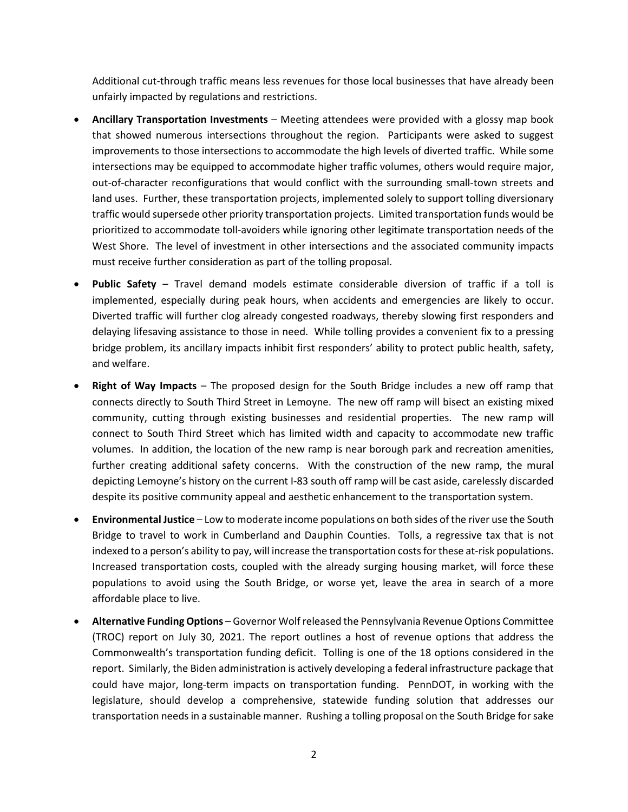Additional cut-through traffic means less revenues for those local businesses that have already been unfairly impacted by regulations and restrictions.

- **Ancillary Transportation Investments** Meeting attendees were provided with a glossy map book that showed numerous intersections throughout the region. Participants were asked to suggest improvements to those intersections to accommodate the high levels of diverted traffic. While some intersections may be equipped to accommodate higher traffic volumes, others would require major, out-of-character reconfigurations that would conflict with the surrounding small-town streets and land uses. Further, these transportation projects, implemented solely to support tolling diversionary traffic would supersede other priority transportation projects. Limited transportation funds would be prioritized to accommodate toll-avoiders while ignoring other legitimate transportation needs of the West Shore. The level of investment in other intersections and the associated community impacts must receive further consideration as part of the tolling proposal.
- **Public Safety** Travel demand models estimate considerable diversion of traffic if a toll is implemented, especially during peak hours, when accidents and emergencies are likely to occur. Diverted traffic will further clog already congested roadways, thereby slowing first responders and delaying lifesaving assistance to those in need. While tolling provides a convenient fix to a pressing bridge problem, its ancillary impacts inhibit first responders' ability to protect public health, safety, and welfare.
- **Right of Way Impacts** The proposed design for the South Bridge includes a new off ramp that connects directly to South Third Street in Lemoyne. The new off ramp will bisect an existing mixed community, cutting through existing businesses and residential properties. The new ramp will connect to South Third Street which has limited width and capacity to accommodate new traffic volumes. In addition, the location of the new ramp is near borough park and recreation amenities, further creating additional safety concerns. With the construction of the new ramp, the mural depicting Lemoyne's history on the current I-83 south off ramp will be cast aside, carelessly discarded despite its positive community appeal and aesthetic enhancement to the transportation system.
- **Environmental Justice** Low to moderate income populations on both sides of the river use the South Bridge to travel to work in Cumberland and Dauphin Counties. Tolls, a regressive tax that is not indexed to a person's ability to pay, will increase the transportation costs for these at-risk populations. Increased transportation costs, coupled with the already surging housing market, will force these populations to avoid using the South Bridge, or worse yet, leave the area in search of a more affordable place to live.
- **Alternative Funding Options** Governor Wolf released the Pennsylvania Revenue Options Committee (TROC) report on July 30, 2021. The report outlines a host of revenue options that address the Commonwealth's transportation funding deficit. Tolling is one of the 18 options considered in the report. Similarly, the Biden administration is actively developing a federal infrastructure package that could have major, long-term impacts on transportation funding. PennDOT, in working with the legislature, should develop a comprehensive, statewide funding solution that addresses our transportation needs in a sustainable manner. Rushing a tolling proposal on the South Bridge for sake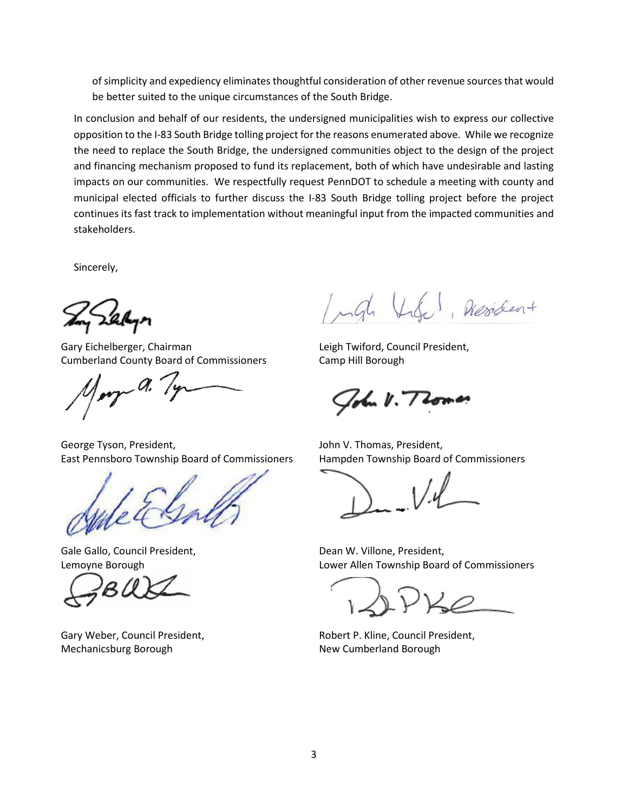of simplicity and expediency eliminates thoughtful consideration of other revenue sources that would be better suited to the unique circumstances of the South Bridge.

In conclusion and behalf of our residents, the undersigned municipalities wish to express our collective opposition to the I-83 South Bridge tolling project for the reasons enumerated above. While we recognize the need to replace the South Bridge, the undersigned communities object to the design of the project and financing mechanism proposed to fund its replacement, both of which have undesirable and lasting impacts on our communities. We respectfully request PennDOT to schedule a meeting with county and municipal elected officials to further discuss the I-83 South Bridge tolling project before the project continues its fast track to implementation without meaningful input from the impacted communities and stakeholders.

Sincerely,

Gary Eichelberger, Chairman Cumberland County Board of Commissioners

 $r r$ 

George Tyson, President, East Pennsboro Township Board of Commissioners



Gale Gallo, Council President, Lemoyne Borough

Gary Weber, Council President, Mechanicsburg Borough

Ingl Vide, Acordent

Leigh Twiford, Council President, Camp Hill Borough

John V. Thomas

John V. Thomas, President, Hampden Township Board of Commissioners

Dean W. Villone, President, Lower Allen Township Board of Commissioners

Robert P. Kline, Council President, New Cumberland Borough